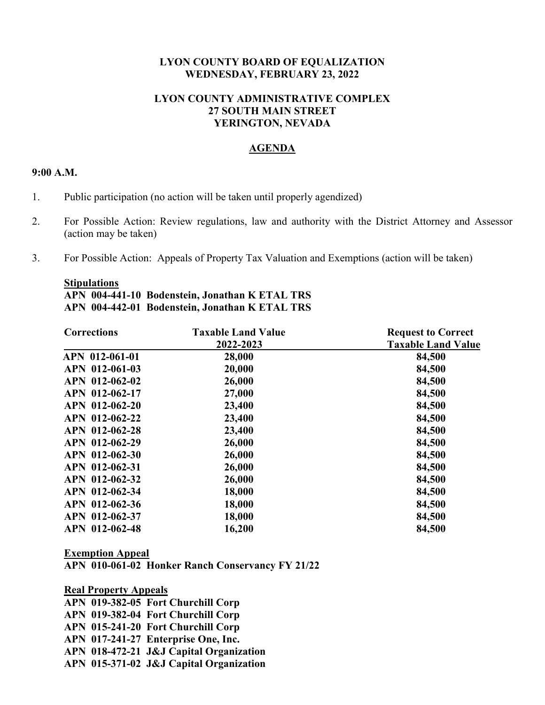# **LYON COUNTY BOARD OF EQUALIZATION WEDNESDAY, FEBRUARY 23, 2022**

# **LYON COUNTY ADMINISTRATIVE COMPLEX 27 SOUTH MAIN STREET YERINGTON, NEVADA**

# **AGENDA**

### **9:00 A.M.**

- 1. Public participation (no action will be taken until properly agendized)
- 2. For Possible Action: Review regulations, law and authority with the District Attorney and Assessor (action may be taken)
- 3. For Possible Action: Appeals of Property Tax Valuation and Exemptions (action will be taken)

#### **Stipulations**

# **APN 004-441-10 Bodenstein, Jonathan K ETAL TRS APN 004-442-01 Bodenstein, Jonathan K ETAL TRS**

| <b>Request to Correct</b><br><b>Taxable Land Value</b> |
|--------------------------------------------------------|
|                                                        |
| 84,500                                                 |
| 84,500                                                 |
| 84,500                                                 |
| 84,500                                                 |
| 84,500                                                 |
| 84,500                                                 |
| 84,500                                                 |
| 84,500                                                 |
| 84,500                                                 |
| 84,500                                                 |
| 84,500                                                 |
| 84,500                                                 |
| 84,500                                                 |
| 84,500                                                 |
|                                                        |

### **Exemption Appeal**

**APN 010-061-02 Honker Ranch Conservancy FY 21/22** 

**Real Property Appeals APN 019-382-05 Fort Churchill Corp APN 019-382-04 Fort Churchill Corp APN 015-241-20 Fort Churchill Corp APN 017-241-27 Enterprise One, Inc. APN 018-472-21 J&J Capital Organization APN 015-371-02 J&J Capital Organization**